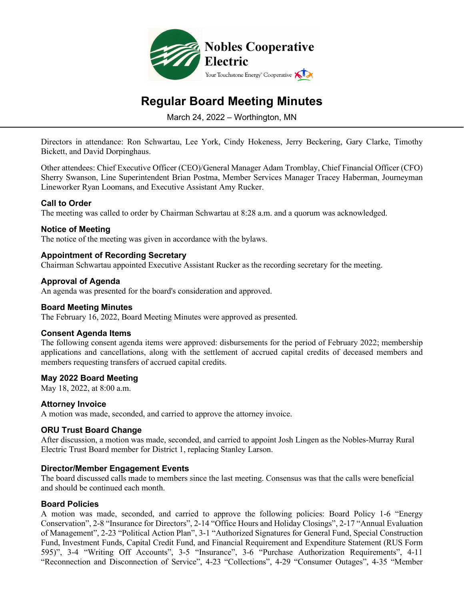

# **Regular Board Meeting Minutes**

March 24, 2022 – Worthington, MN

Directors in attendance: Ron Schwartau, Lee York, Cindy Hokeness, Jerry Beckering, Gary Clarke, Timothy Bickett, and David Dorpinghaus.

Other attendees: Chief Executive Officer (CEO)/General Manager Adam Tromblay, Chief Financial Officer (CFO) Sherry Swanson, Line Superintendent Brian Postma, Member Services Manager Tracey Haberman, Journeyman Lineworker Ryan Loomans, and Executive Assistant Amy Rucker.

## **Call to Order**

The meeting was called to order by Chairman Schwartau at 8:28 a.m. and a quorum was acknowledged.

#### **Notice of Meeting**

The notice of the meeting was given in accordance with the bylaws.

## **Appointment of Recording Secretary**

Chairman Schwartau appointed Executive Assistant Rucker as the recording secretary for the meeting.

#### **Approval of Agenda**

An agenda was presented for the board's consideration and approved.

#### **Board Meeting Minutes**

The February 16, 2022, Board Meeting Minutes were approved as presented.

#### **Consent Agenda Items**

The following consent agenda items were approved: disbursements for the period of February 2022; membership applications and cancellations, along with the settlement of accrued capital credits of deceased members and members requesting transfers of accrued capital credits.

#### **May 2022 Board Meeting**

May 18, 2022, at 8:00 a.m.

#### **Attorney Invoice**

A motion was made, seconded, and carried to approve the attorney invoice.

#### **ORU Trust Board Change**

After discussion, a motion was made, seconded, and carried to appoint Josh Lingen as the Nobles-Murray Rural Electric Trust Board member for District 1, replacing Stanley Larson.

#### **Director/Member Engagement Events**

The board discussed calls made to members since the last meeting. Consensus was that the calls were beneficial and should be continued each month.

#### **Board Policies**

A motion was made, seconded, and carried to approve the following policies: Board Policy 1-6 "Energy Conservation", 2-8 "Insurance for Directors", 2-14 "Office Hours and Holiday Closings", 2-17 "Annual Evaluation of Management", 2-23 "Political Action Plan", 3-1 "Authorized Signatures for General Fund, Special Construction Fund, Investment Funds, Capital Credit Fund, and Financial Requirement and Expenditure Statement (RUS Form 595)", 3-4 "Writing Off Accounts", 3-5 "Insurance", 3-6 "Purchase Authorization Requirements", 4-11 "Reconnection and Disconnection of Service", 4-23 "Collections", 4-29 "Consumer Outages", 4-35 "Member